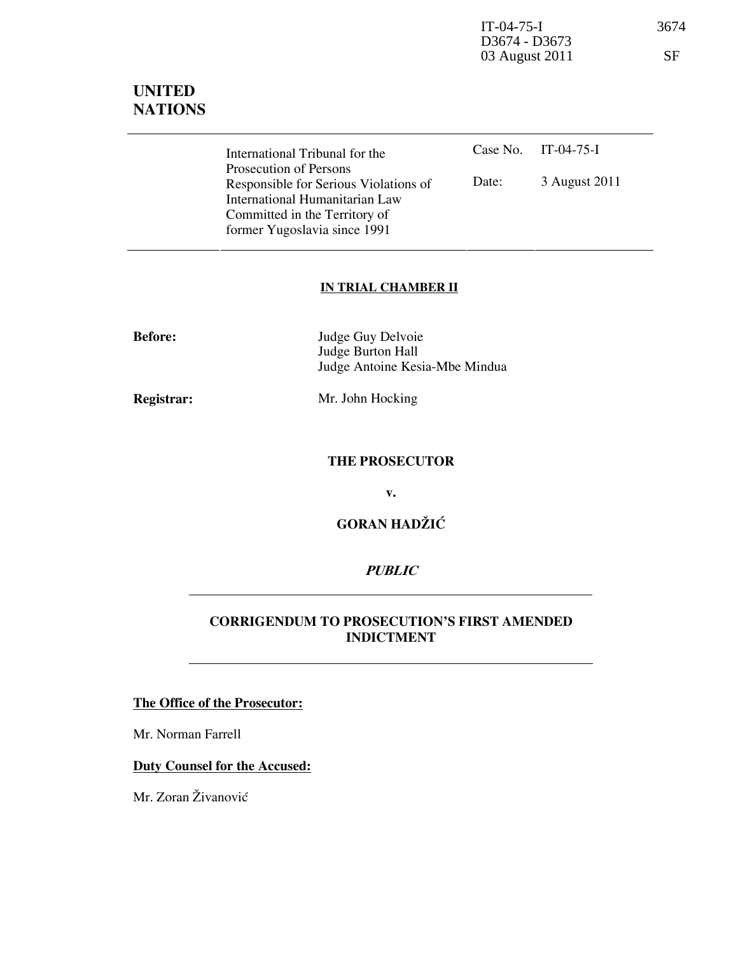IT-04-75-I 3674 D3674 - D3673 03 August 2011 SF

# UNITED **NATIONS**

| International Tribunal for the        |       | Case No. IT-04-75-I |
|---------------------------------------|-------|---------------------|
| Prosecution of Persons                |       |                     |
| Responsible for Serious Violations of | Date: | 3 August 2011       |
| International Humanitarian Law        |       |                     |
| Committed in the Territory of         |       |                     |
| former Yugoslavia since 1991          |       |                     |

#### IN TRIAL CHAMBER II

| <b>Before:</b> | Judge Guy Delvoie              |
|----------------|--------------------------------|
|                | Judge Burton Hall              |
|                | Judge Antoine Kesia-Mbe Mindua |
|                |                                |

Registrar: Mr. John Hocking

### THE PROSECUTOR

v.

GORAN HADŽIĆ

### **PUBLIC**

#### CORRIGENDUM TO PROSECUTION'S FIRST AMENDED INDICTMENT

#### The Office of the Prosecutor:

Mr. Norman Farrell

## Duty Counsel for the Accused:

Mr. Zoran Živanović